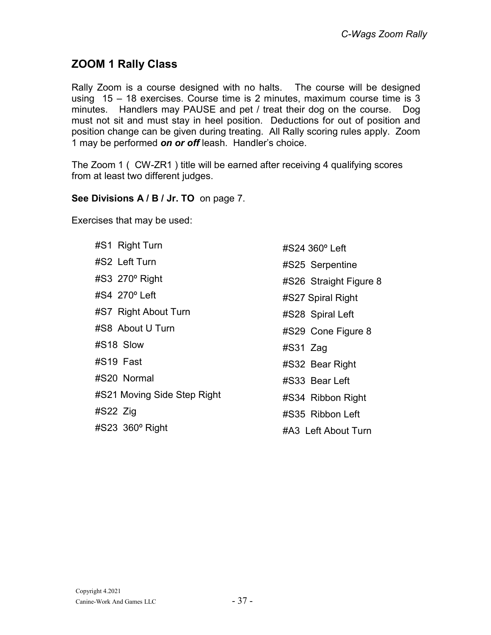### ZOOM 1 Rally Class

Rally Zoom is a course designed with no halts. The course will be designed using 15 – 18 exercises. Course time is 2 minutes, maximum course time is 3 minutes. Handlers may PAUSE and pet / treat their dog on the course. Dog must not sit and must stay in heel position. Deductions for out of position and position change can be given during treating. All Rally scoring rules apply. Zoom 1 may be performed on or off leash. Handler's choice.

The Zoom 1 ( CW-ZR1 ) title will be earned after receiving 4 qualifying scores from at least two different judges.

#### See Divisions A / B / Jr. TO on page 7.

Exercises that may be used:

| #S1 Right Turn              |
|-----------------------------|
| #S2 Left Turn               |
| #S3 270° Right              |
| #S4 270° Left               |
| #S7 Right About Turn        |
| #S8_About U Turn            |
| #S18 Slow                   |
| #S19 Fast                   |
| #S20 Normal                 |
| #S21 Moving Side Step Right |
| $#S22$ Zig                  |
| #S23 360° Right             |

#S24 360º Left #S25 Serpentine #S26 Straight Figure 8 #S27 Spiral Right #S28 Spiral Left #S29 Cone Figure 8 #S31 Zag #S32 Bear Right #S33 Bear Left #S34 Ribbon Right #S35 Ribbon Left #A3 Left About Turn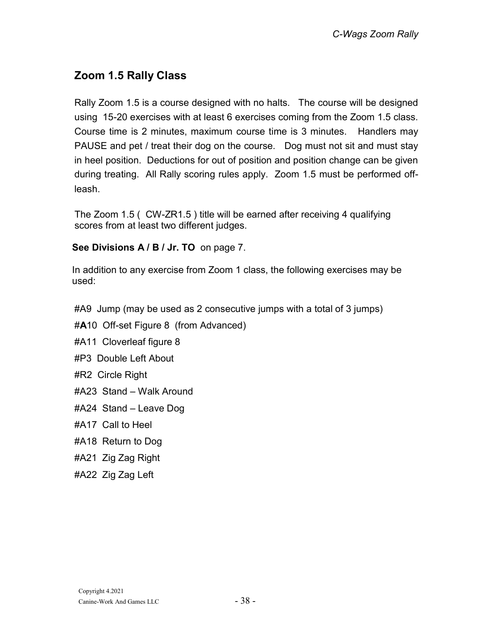# Zoom 1.5 Rally Class

Rally Zoom 1.5 is a course designed with no halts. The course will be designed using 15-20 exercises with at least 6 exercises coming from the Zoom 1.5 class. Course time is 2 minutes, maximum course time is 3 minutes. Handlers may PAUSE and pet / treat their dog on the course. Dog must not sit and must stay in heel position. Deductions for out of position and position change can be given during treating. All Rally scoring rules apply. Zoom 1.5 must be performed offleash.

The Zoom 1.5 ( CW-ZR1.5 ) title will be earned after receiving 4 qualifying scores from at least two different judges.

### See Divisions A / B / Jr. TO on page 7.

In addition to any exercise from Zoom 1 class, the following exercises may be used:

#A9 Jump (may be used as 2 consecutive jumps with a total of 3 jumps)

#A10 Off-set Figure 8 (from Advanced)

#A11 Cloverleaf figure 8

- #P3 Double Left About
- #R2 Circle Right
- #A23 Stand Walk Around
- #A24 Stand Leave Dog
- #A17 Call to Heel
- #A18 Return to Dog
- #A21 Zig Zag Right
- #A22 Zig Zag Left